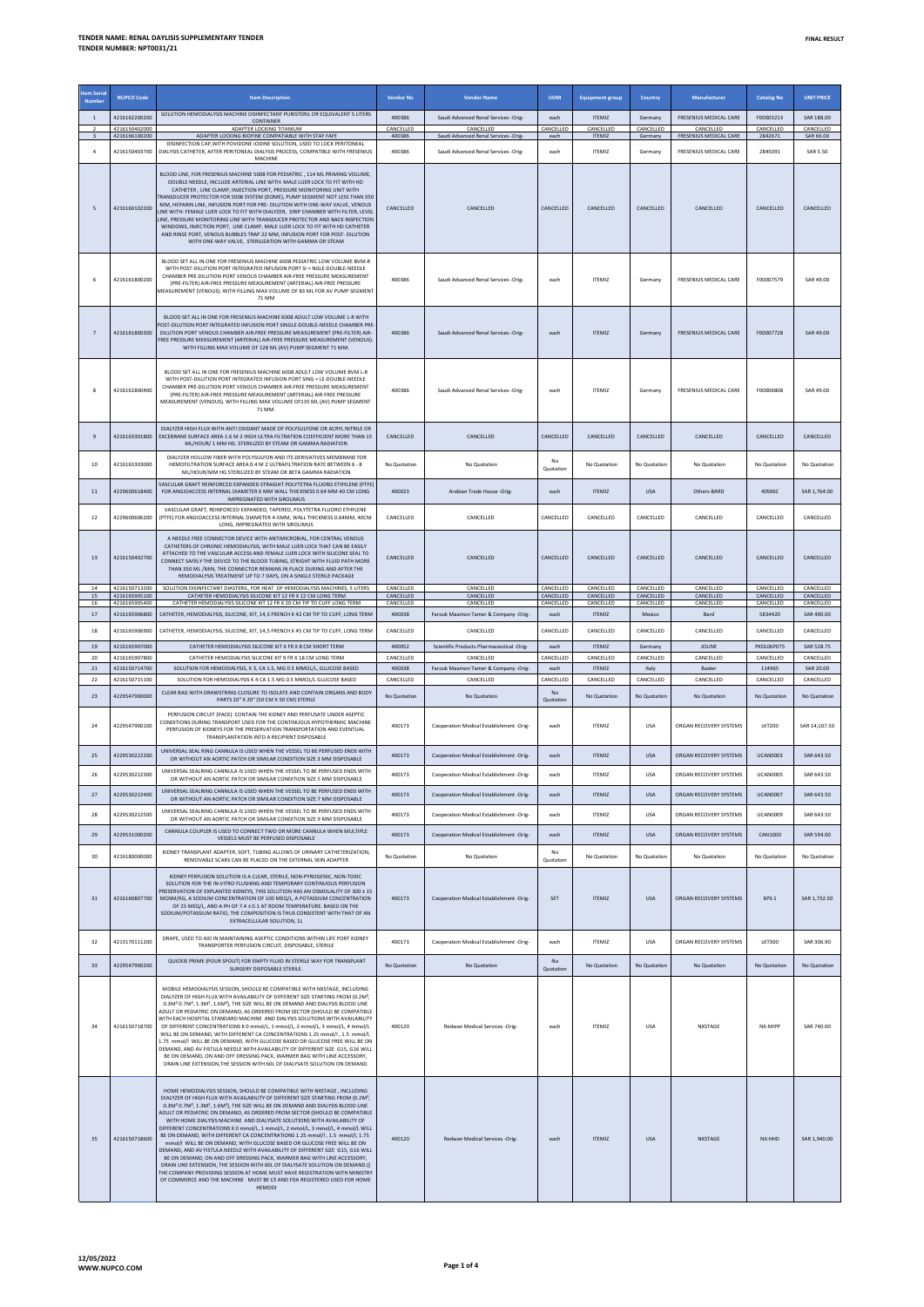| tem Seria<br>Numbe | <b>NUPCO Code</b>              | <b>Item Description</b>                                                                                                                                                                                                                                                                                                                                                                                                                                                                                                                                                                                                                                                                                                                                                                                                                                                                                                                                                                                                                                                                                                                       | <b>Vendor No</b>       | <b>Vendor Name</b>                                      | <b>UOM</b>             | <b>Equipment group</b>        | Country                    | Manufacturer                           | <b>Catalog No</b>             | <b>UNIT PRICE</b>             |
|--------------------|--------------------------------|-----------------------------------------------------------------------------------------------------------------------------------------------------------------------------------------------------------------------------------------------------------------------------------------------------------------------------------------------------------------------------------------------------------------------------------------------------------------------------------------------------------------------------------------------------------------------------------------------------------------------------------------------------------------------------------------------------------------------------------------------------------------------------------------------------------------------------------------------------------------------------------------------------------------------------------------------------------------------------------------------------------------------------------------------------------------------------------------------------------------------------------------------|------------------------|---------------------------------------------------------|------------------------|-------------------------------|----------------------------|----------------------------------------|-------------------------------|-------------------------------|
| $\mathbf{1}$       | 4216162200200                  | SOLUTION HEMODIALYSIS MACHINE DISINFECTANT PURISTERIL OR EQUIVALENT 5 LITERS<br>CONTAINER                                                                                                                                                                                                                                                                                                                                                                                                                                                                                                                                                                                                                                                                                                                                                                                                                                                                                                                                                                                                                                                     | 400386                 | Saudi Advanced Renal Services -Orig-                    | each                   | <b>ITEMIZ</b>                 | Germany                    | FRESENIUS MEDICAL CARE                 | F00003213                     | SAR 188.00                    |
| 3                  | 4216150402000<br>4216166100200 | ADAPTER LOCKING TITANIUM<br>ADAPTER LOCKING BIOFINE COMPATIABLE WITH STAY FAFE                                                                                                                                                                                                                                                                                                                                                                                                                                                                                                                                                                                                                                                                                                                                                                                                                                                                                                                                                                                                                                                                | CANCELLED<br>400386    | CANCELLED<br>Saudi Advanced Renal Services -Orig-       | CANCELLED<br>each      | CANCELLED<br><b>ITEMIZ</b>    | CANCELLED<br>Germany       | CANCELLED<br>FRESENIUS MEDICAL CARE    | CANCELLED<br>2842671          | CANCELLED<br>SAR 66.00        |
| $\overline{a}$     | 4216150403700                  | DISINFECTION CAP. WITH POVIDONE IODINE SOLUTION. USED TO LOCK PERITONEAL<br>DIALYSIS CATHETER, AFTER PERITONEAL DIALYSIS PROCESS, COMPATIBLE WITH FRESENIUS                                                                                                                                                                                                                                                                                                                                                                                                                                                                                                                                                                                                                                                                                                                                                                                                                                                                                                                                                                                   | 400386                 | Saudi Advanced Renal Services -Orig-                    | each                   | <b>ITEMIZ</b>                 | Germany                    | FRESENIUS MEDICAL CARE                 | 2845091                       | <b>SAR 5.50</b>               |
| 5                  | 4216160102200                  | MACHINE<br>BLOOD LINE, FOR FRESENIUS MACHINE 5008 FOR PEDIATRIC, 114 ML PRIMING VOLUME,<br>DOUBLE NEEDLE, INCLUDE ARTERIAL LINE WITH: MALE LUER LOCK TO FIT WITH HD<br>CATHETER, LINE CLAMP, INJECTION PORT, PRESSURE MONITORING UNIT WITH<br>TRANSDUCER PROTECTOR FOR 5008 SYSTEM (DOME), PUMP SEGMENT NOT LESS THAN 350<br>MM. HEPARIN LINE, INFUSION PORT FOR PRE- DILUTION WITH ONE-WAY VALVE, VENOUS<br>LINE WITH: FEMALE LUER LOCK TO FIT WITH DIALYZER, DRIP CHAMBER WITH FILTER, LEVEL<br>INE, PRESSURE MONITORING LINE WITH TRANSDUCER PROTECTOR AND BACK INSPECTION<br>WINDOWS, INJECTION PORT, LINE CLAMP, MALE LUER LOCK TO FIT WITH HD CATHETER<br>AND RINSE PORT, VENOUS BUBBLES TRAP 22 MM, INFUSION PORT FOR POST- DILUTION<br>WITH ONE-WAY VALVE, STERILIZATION WITH GAMMA OR STEAM                                                                                                                                                                                                                                                                                                                                          | CANCELLED              | CANCELLED                                               | CANCELLED              | CANCELLED                     | CANCELLED                  | CANCELLED                              | CANCELLED                     | CANCELLED                     |
| 6                  | 4216161800200                  | BLOOD SET ALL IN ONE FOR FRESENIUS MACHINE 6008 PEDIATRIC LOW VOLUME BVM-R<br>WITH POST-DILUTION PORT INTEGRATED INFUSION PORT SI = NGLE-DOUBLE-NEEDLE<br>CHAMBER PRE-DILUTION PORT VENOUS CHAMBER AIR-FREE PRESSURE MEASUREMENT<br>(PRE-FILTER) AIR-FREE PRESSURE MEASUREMENT (ARTERIAL) AIR-FREE PRESSURE<br>MEASUREMENT (VENOUS). WITH FILLING MAX VOLUME OF 83 ML FOR AV PUMP SEGMENT<br>71 MM                                                                                                                                                                                                                                                                                                                                                                                                                                                                                                                                                                                                                                                                                                                                            | 400386                 | Saudi Advanced Renal Services -Orig-                    | each                   | ITFMIZ                        | Germany                    | FRESENIUS MEDICAL CARE                 | F00007579                     | SAR 49.00                     |
| $\overline{7}$     | 4216161800300                  | BLOOD SET ALL IN ONE FOR FRESENIUS MACHINE 6008 ADULT LOW VOLUME L-R WITH<br>POST-DILUTION PORT INTEGRATED INFUSION PORT SINGLE-DOUBLE-NEEDLE CHAMBER PRE<br>DILUTION PORT VENOUS CHAMBER AIR-FREE PRESSURE MEASUREMENT (PRE-FILTER) AIR-<br>FREE PRESSURE MEASUREMENT (ARTERIAL) AIR-FREE PRESSURE MEASUREMENT (VENOUS).<br>WITH FILLING MAX VOLUME OF 128 ML (AV) PUMP SEGMENT 71 MM.                                                                                                                                                                                                                                                                                                                                                                                                                                                                                                                                                                                                                                                                                                                                                       | 400386                 | Saudi Advanced Renal Services -Orig-                    | each                   | <b>ITEMIZ</b>                 | Germany                    | <b>FRESENIUS MEDICAL CARE</b>          | F00007728                     | SAR 49.00                     |
| 8                  | 4216161800400                  | BLOOD SET ALL IN ONE FOR FRESENIUS MACHINE 6008 ADULT LOW VOLUME BVM L-R<br>WITH POST-DILUTION PORT INTEGRATED INFUSION PORT SING = LE-DOUBLE-NEEDLE<br>CHAMBER PRE-DILUTION PORT VENOUS CHAMBER AIR-FREE PRESSURE MEASUREMENT<br>(PRE-FILTER) AIR-FREE PRESSURE MEASUREMENT (ARTERIAL) AIR-FREE PRESSURE<br>MEASUREMENT (VENOUS). WITH FILLING MAX VOLUME OF135 ML (AV) PUMP SEGMENT<br>71 MM.                                                                                                                                                                                                                                                                                                                                                                                                                                                                                                                                                                                                                                                                                                                                               | 400386                 | Saudi Advanced Renal Services -Orig-                    | each                   | <b>ITEMIZ</b>                 | Germany                    | <b>FRESENIUS MEDICAL CARE</b>          | F00006808                     | SAR 49.00                     |
| 9                  | 4216163301800                  | DIALYZER HIGH FLUX WITH ANTI OXIDANT MADE OF POLYSULFONE OR ACRYL NITRILE OR<br>EXCEBRANE SURFACE AREA 1.6 M 2 HIGH ULTRA FILTRATION COEFFICIENT MORE THAN 15<br>ML/HOUR/ 1 MM HG. STERILIZED BY STEAM OR GAMMA RADIATION                                                                                                                                                                                                                                                                                                                                                                                                                                                                                                                                                                                                                                                                                                                                                                                                                                                                                                                     | CANCELLED              | CANCELLED                                               | CANCELLED              | CANCELLED                     | CANCELLED                  | CANCELLED                              | CANCELLED                     | CANCELLED                     |
| 10                 | 4216163303000                  | DIALYZER HOLLOW FIBER WITH POLYSULFON AND ITS DERIVATIVES MEMBRANE FOR<br>HEMOFILTRATION SURFACE AREA 0.4 M 2 ULTRAFILTRATION RATE BETWEEN 6 - 8<br>ML/HOUR/MM HG STERILIZED BY STEAM OR BETA GAMMA RADIATION                                                                                                                                                                                                                                                                                                                                                                                                                                                                                                                                                                                                                                                                                                                                                                                                                                                                                                                                 | No Quotation           | No Quotation                                            | No<br>Quotation        | No Quotation                  | No Quotation               | No Quotation                           | No Quotation                  | No Quotation                  |
| 11                 | 4229600618400                  | VASCULAR GRAFT REINFORCED EXPANDED STRAIGHT POLYTETRA FLUORO ETHYLENE (PTFE)<br>FOR ANGIOACCESS INTERNAL DIAMETER 6 MM WALL THICKNESS 0.64 MM 40 CM LONG<br>IMPREGNATED WITH SIROLIMUS                                                                                                                                                                                                                                                                                                                                                                                                                                                                                                                                                                                                                                                                                                                                                                                                                                                                                                                                                        | 400023                 | Arabian Trade House -Orig                               | each                   | <b>ITEMIZ</b>                 | <b>USA</b>                 | Others-BARD                            | 40S06C                        | SAR 1,764.00                  |
| 12                 | 4229600606200                  | VASCULAR GRAFT, REINFORCED EXPANDED, TAPERED, POLYTETRA FLUORO ETHYLENE<br>(PTFE) FOR ANGIOACCESS INTERNAL DIAMETER 4-5MM, WALL THICKNESS 0.64MM, 40CM<br>LONG, IMPREGNATED WITH SIROLIMUS                                                                                                                                                                                                                                                                                                                                                                                                                                                                                                                                                                                                                                                                                                                                                                                                                                                                                                                                                    | CANCELLED              | CANCELLED                                               | CANCELLED              | CANCELLED                     | CANCELLED                  | CANCELLED                              | CANCELLED                     | CANCELLED                     |
| 13                 | 4216150402700                  | A NEEDLE FREE CONNECTOR DEVICE WITH ANTIMICROBIAL, FOR CENTRAL VENOUS<br>CATHETERS OF CHRONIC HEMODIALYSIS, WITH MALE LUER LOCK THAT CAN BE EASILY<br>ATTACHED TO THE VASCULAR ACCESS AND FEMALE LUER LOCK WITH SILICONE SEAL TO<br>CONNECT SAFELY THE DEVICE TO THE BLOOD TUBING, STRIGHT WITH FLUID PATH MORE<br>THAN 350 ML /MIN, THE CONNECTOR REMAINS IN PLACE DURING AND AFTER THE<br>HEMODIALYSIS TREATMENT UP TO 7 DAYS, ON A SINGLE STERILE PACKAGE                                                                                                                                                                                                                                                                                                                                                                                                                                                                                                                                                                                                                                                                                  | CANCELLED              | CANCELLED                                               | CANCELLED              | CANCELLED                     | CANCELLED                  | CANCELLED                              | CANCELLED                     | CANCELLED                     |
| $14\,$<br>15       | 4216150713200<br>4216165905100 | SOLUTION DISINFECTANT DIASTERIL, FOR HEAT OF HEMODIALYSIS MACHINES, 5 LITERS<br>CATHETER HEMODIALYSIS SILICONE KIT 12 FR X 12 CM LONG TERM                                                                                                                                                                                                                                                                                                                                                                                                                                                                                                                                                                                                                                                                                                                                                                                                                                                                                                                                                                                                    | CANCELLED<br>CANCELLED | CANCELLED<br>CANCELLED                                  | CANCELLED<br>CANCELLED | CANCELLED<br>CANCELLED        | CANCELLED<br>CANCELLED     | CANCELLED<br>CANCELLED                 | CANCELLED<br>CANCELLED        | CANCELLED<br>CANCELLED        |
| 16<br>17           | 4216165905400<br>4216165906800 | CATHETER HEMODIALYSIS SILICONE KIT 12 FR X 20 CM TIP TO CUFF LONG TERM<br>CATHETER, HEMODIALYSIS, SILICONE, KIT, 14,5 FRENCH X 42 CM TIP TO CUFF, LONG TERM                                                                                                                                                                                                                                                                                                                                                                                                                                                                                                                                                                                                                                                                                                                                                                                                                                                                                                                                                                                   | CANCELLED<br>400038    | CANCELLED                                               | CANCELLED<br>each      | CANCELLED<br><b>ITEMIZ</b>    | CANCELLED<br>Mexico        | CANCELLED<br>Bard                      | CANCELLED<br>5834420          | CANCELLED<br>SAR 490.00       |
| 18                 |                                |                                                                                                                                                                                                                                                                                                                                                                                                                                                                                                                                                                                                                                                                                                                                                                                                                                                                                                                                                                                                                                                                                                                                               |                        | Farouk Maamon Tamer & Company -Orig-                    |                        |                               |                            |                                        | CANCELLED                     |                               |
| 19                 | 4216165906900<br>4216165907000 | CATHETER, HEMODIALYSIS, SILICONE, KIT, 14,5 FRENCH X 45 CM TIP TO CUFF, LONG TERM<br>CATHETER HEMODIALYSIS SILICONE KIT 6 FR X 8 CM SHORT TERM                                                                                                                                                                                                                                                                                                                                                                                                                                                                                                                                                                                                                                                                                                                                                                                                                                                                                                                                                                                                | CANCELLED<br>400052    | CANCELLED<br>Scientific Products Pharmaceutical -Orig-  | CANCELLED<br>each      | CANCELLED<br><b>ITEMIZ</b>    | CANCELLED<br>Germany       | CANCELLED<br>JOLINE                    | <b>PKDL06P075</b>             | CANCELLED<br>SAR 528.75       |
| 20                 | 4216165907800                  | CATHETER HEMODIALYSIS SILICONE KIT 9 FR X 18 CM LONG TERM                                                                                                                                                                                                                                                                                                                                                                                                                                                                                                                                                                                                                                                                                                                                                                                                                                                                                                                                                                                                                                                                                     | CANCELLED              | CANCELLED                                               | CANCELLED              | CANCELLED                     | CANCELLED                  | CANCELLED                              | CANCELLED                     | CANCELLED                     |
| 21                 | 4216150714700                  | SOLUTION FOR HEMODIALYSIS, K 3, CA 1.5, MG 0.5 MMOL/L, GLUCOSE BASED                                                                                                                                                                                                                                                                                                                                                                                                                                                                                                                                                                                                                                                                                                                                                                                                                                                                                                                                                                                                                                                                          | 400038                 | Farouk Maamon Tamer & Company -Orig-                    | each                   | <b>ITEMIZ</b>                 | Italy                      | Baxter                                 | 114965                        | SAR 20.00                     |
| 22                 | 4216150715100                  | SOLUTION FOR HEMODIALYSIS K 4 CA 1.5 MG 0.5 MMOL/L GLUCOSE BASED<br>CLEAR BAG WITH DRAWSTRING CLOSURE TO ISOLATE AND CONTAIN ORGANS AND BODY                                                                                                                                                                                                                                                                                                                                                                                                                                                                                                                                                                                                                                                                                                                                                                                                                                                                                                                                                                                                  | CANCELLED              | <b>CANCELLED</b>                                        | CANCELLED<br>No        | CANCELLED                     | CANCELLED                  | CANCELLED                              | CANCELLED                     | CANCELLED                     |
| 23<br>24           | 4229547900000<br>4229547900100 | PARTS 20" X 20" (50 CM X 50 CM) STERILE<br>PERFLISION CIRCUIT (PACK) CONTAIN THE KIDNEY AND PERFLISATE UNDER ASEPTIC<br>CONDITIONS DURING TRANSPORT USED FOR THE CONTINUOUS HYPOTHERMIC MACHINE<br>PERFUSION OF KIDNEYS FOR THE PRESERVATION TRANSPORTATION AND EVENTUAL<br>TRANSPLANTATION INTO A RECIPIENT DISPOSABLE                                                                                                                                                                                                                                                                                                                                                                                                                                                                                                                                                                                                                                                                                                                                                                                                                       | No Quotation<br>400173 | No Quotation<br>Cooperation Medical Establishment -Orig | Quotation<br>each      | No Quotation<br><b>ITEMIZ</b> | No Quotation<br><b>USA</b> | No Quotation<br>ORGAN RECOVERY SYSTEMS | No Quotation<br><b>LKT200</b> | No Quotation<br>SAR 14 107 50 |
| 25                 | 4229530222200                  | UNIVERSAL SEAL RING CANNULA IS USED WHEN THE VESSEL TO BE PERFUSED ENDS WITH<br>OR WITHOUT AN AORTIC PATCH OR SIMILAR CONDITION SIZE 3 MM DISPOSABLE                                                                                                                                                                                                                                                                                                                                                                                                                                                                                                                                                                                                                                                                                                                                                                                                                                                                                                                                                                                          | 400173                 | Cooperation Medical Establishment -Orig                 | each                   | <b>ITEMIZ</b>                 | <b>USA</b>                 | ORGAN RECOVERY SYSTEMS                 | <b>UCAN0003</b>               | SAR 643.50                    |
| 26                 | 4229530222300                  | UNIVERSAL SEALRING CANNULA IS USED WHEN THE VESSEL TO BE PERFUSED ENDS WITH<br>OR WITHOUT AN AORTIC PATCH OR SIMILAR CONDITION SIZE 5 MM DISPOSABLE                                                                                                                                                                                                                                                                                                                                                                                                                                                                                                                                                                                                                                                                                                                                                                                                                                                                                                                                                                                           | 400173                 | Cooperation Medical Establishment -Orig                 | each                   | <b>ITEMIZ</b>                 | <b>USA</b>                 | ORGAN RECOVERY SYSTEMS                 | UCAN0005                      | SAR 643.50                    |
| 27                 | 4229530222400                  | UNIVERSAL SEALRING CANNULA IS USED WHEN THE VESSEL TO BE PERFUSED ENDS WITH<br>OR WITHOUT AN AORTIC PATCH OR SIMILAR CONDITION SIZE 7 MM DISPOSABLE                                                                                                                                                                                                                                                                                                                                                                                                                                                                                                                                                                                                                                                                                                                                                                                                                                                                                                                                                                                           | 400173                 | Cooperation Medical Establishment -Orig                 | each                   | <b>ITEMIZ</b>                 | <b>USA</b>                 | ORGAN RECOVERY SYSTEMS                 | <b>UCAN0007</b>               | SAR 643.50                    |
| 28                 | 4229530222500                  | UNIVERSAL SEALRING CANNULA IS USED WHEN THE VESSEL TO BE PERFUSED ENDS WITH<br>OR WITHOUT AN AORTIC PATCH OR SIMILAR CONDITION SIZE 9 MM DISPOSABLE                                                                                                                                                                                                                                                                                                                                                                                                                                                                                                                                                                                                                                                                                                                                                                                                                                                                                                                                                                                           | 400173                 | Cooperation Medical Establishment -Orig-                | each                   | <b>ITEMIZ</b>                 | <b>USA</b>                 | ORGAN RECOVERY SYSTEMS                 | UCAN0009                      | SAR 643.50                    |
| 29                 | 4229531000200                  | CANNULA COUPLER IS USED TO CONNECT TWO OR MORE CANNULA WHEN MULTIPLE<br>VESSELS MUST BE PERFUSED DISPOSABLE                                                                                                                                                                                                                                                                                                                                                                                                                                                                                                                                                                                                                                                                                                                                                                                                                                                                                                                                                                                                                                   | 400173                 | Cooperation Medical Establishment -Orig-                | each                   | <b>ITEMIZ</b>                 | <b>USA</b>                 | ORGAN RECOVERY SYSTEMS                 | <b>CAN1000</b>                | SAR 594.00                    |
| 30                 | 4216180000000                  | KIDNEY TRANSPLANT ADAPTER, SOFT, TUBING ALLOWS OF URINARY CATHETERIZATION,<br>REMOVABLE SCARS CAN BE PLACED ON THE EXTERNAL SKIN ADAPTER                                                                                                                                                                                                                                                                                                                                                                                                                                                                                                                                                                                                                                                                                                                                                                                                                                                                                                                                                                                                      | No Quotation           | No Quotation                                            | No<br>Quotation        | No Quotation                  | No Quotation               | No Quotation                           | No Quotation                  | No Quotation                  |
| 31                 | 4216160807700                  | KIDNEY PERFUSION SOLUTION IS A CLEAR, STERILE, NON-PYROGENIC, NON-TOXIC<br>SOLUTION FOR THE IN-VITRO FLUSHING AND TEMPORARY CONTINUOUS PERFUSION<br>PRESERVATION OF EXPLANTED KIDNEYS, THIS SOLUTION HAS AN OSMOLALITY OF 300 ± 15<br>MOSM/KG, A SODIUM CONCENTRATION OF 100 MEQ/L, A POTASSIUM CONCENTRATION<br>OF 25 MEQ/L, AND A PH OF 7.4 ± 0.1 AT ROOM TEMPERATURE. BASED ON THE<br>SODIUM/POTASSIUM RATIO, THE COMPOSITION IS THUS CONSISTENT WITH THAT OF AN<br>EXTRACELLULAR SOLUTION, 1L                                                                                                                                                                                                                                                                                                                                                                                                                                                                                                                                                                                                                                             | 400173                 | Cooperation Medical Establishment -Orig-                | <b>SET</b>             | <b>ITEMIZ</b>                 | <b>USA</b>                 | ORGAN RECOVERY SYSTEMS                 | KPS-1                         | SAR 1,732.50                  |
| 32                 | 4213170111200                  | DRAPE, USED TO AID IN MAINTAINING ASEPTIC CONDITIONS WITHIN LIFE PORT KIDNEY<br>TRANSPORTER PERFUSION CIRCUIT, DISPOSABLE, STERILE                                                                                                                                                                                                                                                                                                                                                                                                                                                                                                                                                                                                                                                                                                                                                                                                                                                                                                                                                                                                            | 400173                 | Cooperation Medical Establishment -Orig-                | each                   | <b>ITEMIZ</b>                 | <b>USA</b>                 | ORGAN RECOVERY SYSTEMS                 | <b>LKT300</b>                 | SAR 306.90                    |
| 33                 | 4229547900200                  | QUICKIE PRIME (POUR SPOUT) FOR EMPTY FLUID IN STERILE WAY FOR TRANSPLANT<br>SURGERY DISPOSABLE STERILE.                                                                                                                                                                                                                                                                                                                                                                                                                                                                                                                                                                                                                                                                                                                                                                                                                                                                                                                                                                                                                                       | No Quotation           | No Quotation                                            | <b>No</b><br>Quotation | No Quotation                  | No Quotation               | No Quotation                           | No Quotation                  | No Quotation                  |
| 34                 | 4216150718700                  | MOBILE HEMODIALYSIS SESSION. SHOULD BE COMPATIBLE WITH NXSTAGE. INCLUDING<br>DIALYZER OF HIGH FLUX WITH AVAILABILITY OF DIFFERENT SIZE STARTING FROM (0.2M <sup>2</sup> ,<br>0.3M <sup>2</sup> 0.7M <sup>2</sup> , 1.3M <sup>2</sup> , 1.6M <sup>2</sup> ), THE SIZE WILL BE ON DEMAND AND DIALYSIS BLOOD LINE<br>ADULT OR PEDIATRIC ON DEMAND, AS ORDERED FROM SECTOR (SHOULD BE COMPATIBLE<br>WITH EACH HOSPITAL STANDARD MACHINE AND DIALYSIS SOLUTIONS WITH AVAILABILITY<br>OF DIFFERENT CONCENTRATIONS K 0 mmol/L, 1 mmol/L, 2 mmol/L, 3 mmol/L, 4 mmol/L<br>WILL BE ON DEMAND, WITH DIFFERENT CA CONCENTRATIONS 1.25 mmol/l, 1.5 mmol/l,<br>1.75 mmol/l WILL BE ON DEMAND, WITH GLUCOSE BASED OR GLUCOSE FREE WILL BE ON<br>DEMAND, AND AV FISTULA NEEDLE WITH AVAILABILITY OF DIFFERENT SIZE G15, G16 WILL<br>BE ON DEMAND, ON AND OFF DRESSING PACK, WARMER BAG WITH LINE ACCESSORY,<br>DRAIN LINE EXTENSION, THE SESSION WITH 60L OF DIALYSATE SOLUTION ON DEMAND.                                                                                                                                                                   | 400120                 | Redwan Medical Services -Orig-                          | each                   | <b>ITEMIZ</b>                 | <b>USA</b>                 | <b>NXSTAGE</b>                         | NX-MIPP                       | SAR 740.00                    |
| 35                 | 4216150718600                  | HOME HEMODIALYSIS SESSION, SHOULD BE COMPATIBLE WITH NXSTAGE, INCLUDING<br>DIALYZER OF HIGH FLUX WITH AVAILABILITY OF DIFFERENT SIZE STARTING FROM (0.2M <sup>2</sup> ,<br>0.3M <sup>2</sup> 0.7M <sup>2</sup> , 1.3M <sup>2</sup> , 1.6M <sup>2</sup> ). THE SIZE WILL BE ON DEMAND AND DIALYSIS BLOOD LINE<br>ADULT OR PEDIATRIC ON DEMAND, AS ORDERED FROM SECTOR (SHOULD BE COMPATIBLE<br>WITH HOME DIALYSIS MACHINE AND DIALYSATE SOLUTIONS WITH AVAILABILITY OF<br>DIFFERENT CONCENTRATIONS K 0 mmol/L, 1 mmol/L, 2 mmol/L, 3 mmol/L, 4 mmol/L WILL<br>BE ON DEMAND, WITH DIFFERENT CA CONCENTRATIONS 1.25 mmol/l, 1.5 mmol/l, 1.75<br>mmol/l WILL BE ON DEMAND. WITH GLUCOSE BASED OR GLUCOSE FREE WILL BE ON<br>DEMAND, AND AV FISTULA NEEDLE WITH AVAILABILITY OF DIFFERENT SIZE G15, G16 WILL<br>BE ON DEMAND, ON AND OFF DRESSING PACK, WARMER BAG WITH LINE ACCESSORY,<br>DRAIN LINE EXTENSION, THE SESSION WITH 60L OF DIALYSATE SOLUTION ON DEMAND.((<br>THE COMPANY PROVIDING SESSION AT HOME MUST HAVE REGISTRATION WITH MINISTRY<br>OF COMMERCE AND THE MACHINE MUST BE CE AND FDA REGISTERED USED FOR HOME<br><b>HEMODI</b> | 400120                 | Redwan Medical Services -Orig-                          | each                   | ITEMIZ                        | <b>USA</b>                 | <b>NXSTAGE</b>                         | NX-HHD                        | SAR 1,940.00                  |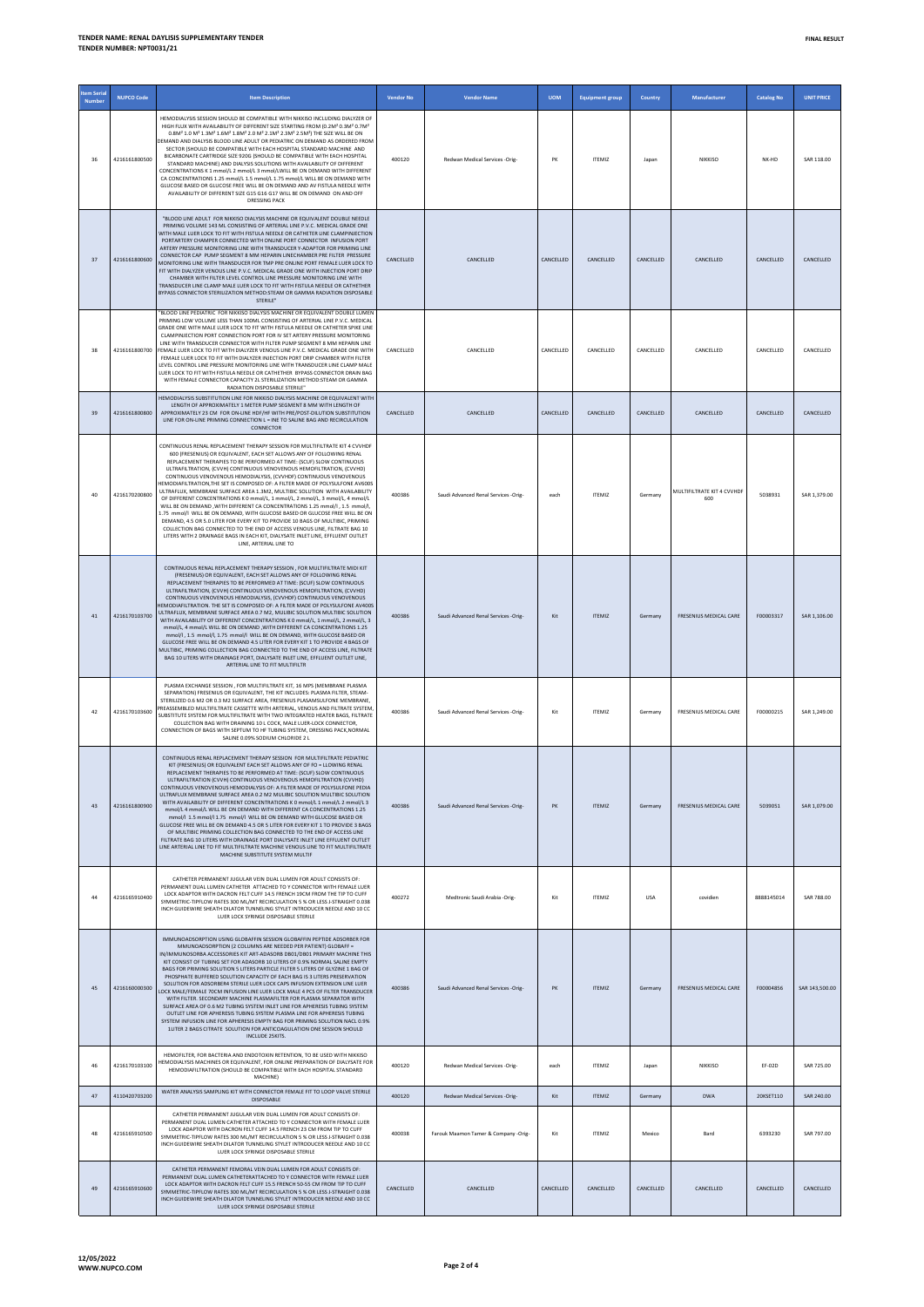| tem Seria<br><b>Numbe</b> | <b>NUPCO Code</b> | <b>Item Description</b>                                                                                                                                                                                                                                                                                                                                                                                                                                                                                                                                                                                                                                                                                                                                                                                                                                                                                                                                                                                                                                                   | <b>Vendor No</b> | <b>Vendor Name</b>                   | <b>UOM</b> | <b>Equipment group</b> | Country    | Manufacturer                      | <b>Catalog No</b> | <b>UNIT PRICE</b> |
|---------------------------|-------------------|---------------------------------------------------------------------------------------------------------------------------------------------------------------------------------------------------------------------------------------------------------------------------------------------------------------------------------------------------------------------------------------------------------------------------------------------------------------------------------------------------------------------------------------------------------------------------------------------------------------------------------------------------------------------------------------------------------------------------------------------------------------------------------------------------------------------------------------------------------------------------------------------------------------------------------------------------------------------------------------------------------------------------------------------------------------------------|------------------|--------------------------------------|------------|------------------------|------------|-----------------------------------|-------------------|-------------------|
| 36                        | 4216161800500     | HEMODIALYSIS SESSION SHOULD BE COMPATIBLE WITH NIKKISO INCLUDING DIALYZER OF<br>HIGH FLUX WITH AVAILABILITY OF DIFFERENT SIZE STARTING FROM (0.2M <sup>2</sup> 0.3M <sup>2</sup> 0.7M <sup>2</sup><br>0.8M <sup>2</sup> 1.0 M <sup>2</sup> 1.3M <sup>2</sup> 1.6M <sup>2</sup> 1.8M <sup>2</sup> 2.0 M <sup>2</sup> 2.1M <sup>2</sup> 2.3M <sup>2</sup> 2.5M <sup>2</sup> ) THE SIZE WILL BE ON<br>DEMAND AND DIALYSIS BLOOD LINE ADULT OR PEDIATRIC ON DEMAND AS ORDERED FROM<br>SECTOR (SHOULD BE COMPATIBLE WITH EACH HOSPITAL STANDARD MACHINE AND<br>BICARBONATE CARTRIDGE SIZE 920G (SHOULD BE COMPATIBLE WITH EACH HOSPITAL<br>STANDARD MACHINE) AND DIALYSIS SOLUTIONS WITH AVAILABILITY OF DIFFERENT<br>CONCENTRATIONS K 1 mmol/L 2 mmol/L 3 mmol/LWILL BE ON DEMAND WITH DIFFERENT<br>CA CONCENTRATIONS 1.25 mmol/L 1.5 mmol/L 1.75 mmol/L WILL BE ON DEMAND WITH<br>GLUCOSE BASED OR GLUCOSE FREE WILL BE ON DEMAND AND AV FISTULA NEEDLE WITH<br>AVAILABILITY OF DIFFERENT SIZE G15 G16 G17 WILL BE ON DEMAND ON AND OFF<br><b>DRESSING PACK</b>              | 400120           | Redwan Medical Services -Orig-       | PK         | <b>ITEMIZ</b>          | Japan      | <b>NIKKISO</b>                    | NK-HD             | SAR 118.00        |
| 37                        | 4216161800600     | "BLOOD LINE ADULT FOR NIKKISO DIALYSIS MACHINE OR EQUIVALENT DOUBLE NEEDLE<br>PRIMING VOLUME 143 ML CONSISTING OF ARTERIAL LINE P.V.C. MEDICAL GRADE ONE<br>WITH MALE LUER LOCK TO FIT WITH FISTULA NEEDLE OR CATHETER LINE CLAMPINJECTION<br>PORTARTERY CHAMPER CONNECTED WITH ONLINE PORT CONNECTOR INFUSION PORT<br>ARTERY PRESSURE MONITORING LINE WITH TRANSDUCER Y-ADAPTOR FOR PRIMING LINE<br>CONNECTOR CAP PUMP SEGMENT 8 MM HEPARIN LINECHAMBER PRE FILTER PRESSURE<br>MONITORING LINE WITH TRANSDUCER FOR TMP PRE ONLINE PORT FEMALE LUER LOCK TO<br>FIT WITH DIALYZER VENOUS LINE P.V.C. MEDICAL GRADE ONE WITH INJECTION PORT DRIP<br>CHAMBER WITH FILTER LEVEL CONTROL LINE PRESSURE MONITORING LINE WITH<br>TRANSDUCER LINE CLAMP MALE LUFR LOCK TO FIT WITH FISTULA NEEDLE OR CATHETHER<br>BYPASS CONNECTOR STERILIZATION METHOD:STEAM OR GAMMA RADIATION DISPOSABLE<br>STERILE"                                                                                                                                                                           | CANCELLED        | CANCELLED                            | CANCELLED  | CANCELLED              | CANCELLED  | CANCELLED                         | CANCELLED         | CANCELLED         |
| 38                        | 4216161800700     | "BLOOD LINE PEDIATRIC FOR NIKKISO DIALYSIS MACHINE OR EQUIVALENT DOUBLE LUMEN<br>PRIMING LOW VOLUME LESS THAN 100ML CONSISTING OF ARTERIAL LINE P.V.C. MEDICAL<br>GRADE ONE WITH MALE LUER LOCK TO FIT WITH FISTULA NEEDLE OR CATHETER SPIKE LINE<br>CLAMPINJECTION PORT CONNECTION PORT FOR IV SET ARTERY PRESSURE MONITORING<br>LINE WITH TRANSDUCER CONNECTOR WITH FILTER PUMP SEGMENT 8 MM HEPARIN LINE<br>FEMALE LUER LOCK TO FIT WITH DIALYZER VENOUS LINE P.V.C. MEDICAL GRADE ONE WITH<br>FEMALE LUER LOCK TO FIT WITH DIALYZER INJECTION PORT DRIP CHAMBER WITH FILTER<br>LEVEL CONTROL LINE PRESSURE MONITORING LINE WITH TRANSDUCER LINE CLAMP MALE<br>LUER LOCK TO FIT WITH FISTULA NEEDLE OR CATHETHER BYPASS CONNECTOR DRAIN BAG<br>WITH FEMALE CONNECTOR CAPACITY 2L STERILIZATION METHOD:STEAM OR GAMMA<br>RADIATION DISPOSABLE STERILE"                                                                                                                                                                                                                  | CANCELLED        | CANCELLED                            | CANCELLED  | CANCELLED              | CANCELLED  | CANCELLED                         | CANCELLED         | CANCELLED         |
| 39                        | 4216161800800     | HEMODIALYSIS SUBSTITUTION LINE FOR NIKKISO DIALYSIS MACHINE OR EQUIVALENT WITH<br>LENGTH OF APPROXIMATELY 1 METER PUMP SEGMENT 8 MM WITH LENGTH OF<br>APPROXIMATELY 23 CM FOR ON-LINE HDE/HE WITH PRE/POST-DILLITION SURSTITUTION<br>LINE FOR ON-LINE PRIMING CONNECTION L = INE TO SALINE BAG AND RECIRCULATION<br>CONNECTOR                                                                                                                                                                                                                                                                                                                                                                                                                                                                                                                                                                                                                                                                                                                                             | CANCELLED        | CANCELLED                            | CANCELLED  | CANCELLED              | CANCELLED  | CANCELLED                         | CANCELLED         | CANCELLED         |
| 40                        | 4216170200800     | CONTINUOUS RENAL REPLACEMENT THERAPY SESSION FOR MULTIFILTRATE KIT 4 CVVHDF<br>600 (FRESENIUS) OR EQUIVALENT, EACH SET ALLOWS ANY OF FOLLOWING RENAL<br>REPLACEMENT THERAPIES TO BE PERFORMED AT TIME: (SCUF) SLOW CONTINUOUS<br>ULTRAFILTRATION (CVVH) CONTINUOUS VENOVENOUS HEMOFILTRATION. (CVVHD)<br>CONTINUOUS VENOVENOUS HEMODIALYSIS, (CVVHDF) CONTINUOUS VENOVENOUS<br>HEMODIAFILTRATION, THE SET IS COMPOSED OF: A FILTER MADE OF POLYSULFONE AV600S<br>ULTRAFLUX, MEMBRANE SURFACE AREA 1.3M2, MULTIBIC SOLUTION WITH AVAILABILITY<br>OF DIFFERENT CONCENTRATIONS K 0 mmol/L, 1 mmol/L, 2 mmol/L, 3 mmol/L, 4 mmol/L<br>WILL RE ON DEMAND, WITH DIFFERENT CA CONCENTRATIONS 1.25 mmol/L 1.5 mmol/L<br>1.75 mmol/l WILL BE ON DEMAND, WITH GLUCOSE BASED OR GLUCOSE FREE WILL BE ON<br>DEMAND, 4.5 OR 5.0 LITER FOR EVERY KIT TO PROVIDE 10 BAGS OF MULTIBIC, PRIMING<br>COLLECTION BAG CONNECTED TO THE END OF ACCESS VENOUS LINE, FILTRATE BAG 10<br>LITERS WITH 2 DRAINAGE BAGS IN EACH KIT, DIALYSATE INLET LINE, EFFLUENT OUTLET<br>LINE, ARTERIAL LINE TO  | 400386           | Saudi Advanced Renal Services -Orig- | each       | <b>ITEMIZ</b>          | Germany    | MULTIFILTRATE KIT 4 CVVHDF<br>600 | 5038931           | SAR 1,379.00      |
| 41                        | 4216170103700     | CONTINUOUS RENAL REPLACEMENT THERAPY SESSION, FOR MULTIFILTRATE MIDI KIT<br>(FRESENIUS) OR EQUIVALENT, EACH SET ALLOWS ANY OF FOLLOWING RENAL<br>REPLACEMENT THERAPIES TO BE PERFORMED AT TIME: (SCUF) SLOW CONTINUOUS<br>ULTRAFILTRATION, (CVVH) CONTINUOUS VENOVENOUS HEMOFILTRATION, (CVVHD)<br>CONTINUOUS VENOVENOUS HEMODIALYSIS, (CVVHDF) CONTINUOUS VENOVENOUS<br>EMODIAFILTRATION. THE SET IS COMPOSED OF: A FILTER MADE OF POLYSULFONE AV400S<br>ULTRAFLUX, MEMBRANE SURFACE AREA 0.7 M2, MULIBIC SOLUTION MULTIBIC SOLUTION<br>WITH AVAILABILITY OF DIFFERENT CONCENTRATIONS K 0 mmol/L, 1 mmol/L, 2 mmol/L, 3<br>mmol/L, 4 mmol/L WILL BE ON DEMAND , WITH DIFFERENT CA CONCENTRATIONS 1.25<br>mmol/l, 1.5 mmol/l, 1.75 mmol/l WILL BE ON DEMAND, WITH GLUCOSE BASED OR<br>GLUCOSE FREE WILL BE ON DEMAND 4.5 LITER FOR EVERY KIT 1 TO PROVIDE 4 BAGS OF<br>MULTIBIC, PRIMING COLLECTION BAG CONNECTED TO THE END OF ACCESS LINE, FILTRATE<br>BAG 10 LITERS WITH DRAINAGE PORT. DIALYSATE INLET LINE. EFFLUENT OUTLET LINE.<br>ARTERIAL LINE TO FIT MULTIFILTR | 400386           | Saudi Advanced Renal Services -Orig- | Kit        | <b>ITEMIZ</b>          | Germany    | FRESENIUS MEDICAL CARE            | F00003317         | SAR 1,106.00      |
| 42                        | 4216170103600     | PLASMA EXCHANGE SESSION . FOR MULTIFILTRATE KIT. 16 MPS (MEMBRANE PLASMA<br>SEPARATION) FRESENIUS OR EQUIVALENT, THE KIT INCLUDES: PLASMA FILTER, STEAM-<br>STERILIZED 0.6 M2 OR 0.3 M2 SURFACE AREA, FRESENIUS PLASAMSULFONE MEMBRANE,<br>REASSEMBLED MULTIFILTRATE CASSETTE WITH ARTERIAL, VENOUS AND FILTRATE SYSTEM,<br>SUBSTITUTE SYSTEM FOR MULTIFILTRATE WITH TWO INTEGRATED HEATER BAGS, FILTRATE<br>COLLECTION BAG WITH DRAINING 10 L COCK, MALE LUER-LOCK CONNECTOR.<br>CONNECTION OF BAGS WITH SEPTUM TO HF TUBING SYSTEM, DRESSING PACK, NORMAL<br>SALINE 0.09% SODIUM CHLORIDE 2 L                                                                                                                                                                                                                                                                                                                                                                                                                                                                           | 400386           | Saudi Advanced Renal Services -Orig- | Kit        | ITFMIZ                 | Germany    | <b>FRESENIUS MEDICAL CARE</b>     | F00000215         | SAR 1,249.00      |
| 43                        | 4216161800900     | CONTINUOUS RENAL REPLACEMENT THERAPY SESSION FOR MULTIFILTRATE PEDIATRIC<br>KIT (FRESENIUS) OR EQUIVALENT EACH SET ALLOWS ANY OF FO = LLOWING RENAL<br>REPLACEMENT THERAPIES TO BE PERFORMED AT TIME: (SCUF) SLOW CONTINUOUS<br>ULTRAFILTRATION (CVVH) CONTINUOUS VENOVENOUS HEMOFILTRATION (CVVHD)<br>CONTINUOUS VENOVENOUS HEMODIALYSIS OF: A FILTER MADE OF POLYSULFONE PEDIA<br>ULTRAFI UX MEMBRANE SURFACE AREA 0.2 M2 MULIBIC SOLUTION MULTIBIC SOLUTION<br>WITH AVAILABILITY OF DIFFERENT CONCENTRATIONS K 0 mmol/L 1 mmol/L 2 mmol/L 3<br>mmol/L 4 mmol/L WILL BE ON DEMAND WITH DIFFERENT CA CONCENTRATIONS 1.25<br>mmol/l 1.5 mmol/l 1.75 mmol/l WILL BE ON DEMAND WITH GLUCOSE BASED OR<br>GLUCOSE FREE WILL BE ON DEMAND 4.5 OR 5 LITER FOR EVERY KIT 1 TO PROVIDE 3 BAGS<br>OF MULTIBIC PRIMING COLLECTION BAG CONNECTED TO THE END OF ACCESS LINE<br>FILTRATE BAG 10 LITERS WITH DRAINAGE PORT DIALYSATE INLET LINE EFFLUENT OUTLET<br>LINE ARTERIAL LINE TO FIT MULTIFILTRATE MACHINE VENOUS LINE TO FIT MULTIFILTRATE<br>MACHINE SUBSTITUTE SYSTEM MULTIF | 400386           | Saudi Advanced Renal Services -Orig- | PK         | <b>ITEMIZ</b>          | Germany    | FRESENIUS MEDICAL CARE            | 5039051           | SAR 1,079.00      |
| 44                        | 4216165910400     | CATHETER PERMANENT JUGULAR VEIN DUAL LUMEN FOR ADULT CONSISTS OF:<br>PERMANENT DUAL LUMEN CATHETER ATTACHED TO Y CONNECTOR WITH FEMALE LUER<br>LOCK ADAPTOR WITH DACRON FELT CUFF 14.5 FRENCH 19CM FROM THE TIP TO CUFF<br>SYMMETRIC-TIPFLOW RATES 300 ML/MT RECIRCULATION 5 % OR LESS J-STRAIGHT 0.038<br>INCH GUIDEWIRE SHEATH DILATOR TUNNELING STYLET INTRODUCER NEEDLE AND 10 CC<br>LUER LOCK SYRINGE DISPOSABLE STERILE                                                                                                                                                                                                                                                                                                                                                                                                                                                                                                                                                                                                                                             | 400272           | Medtronic Saudi Arabia -Orig-        | Kit        | ITFMIZ                 | <b>USA</b> | covidien                          | 8888145014        | SAR 788.00        |
| 45                        | 4216160000300     | IMMUNOADSORPTION USING GLOBAFFIN SESSION GLOBAFFIN PEPTIDE ADSORBER FOR<br>MMUNOADSORPTION (2 COLUMNS ARE NEEDED PER PATIENT) GLOBAFF =<br>IN/IMMUNOSORBA ACCESSORIES KIT ART-ADASORB DB01/DB01 PRIMARY MACHINE THIS<br>KIT CONSIST OF TUBING SET FOR ADASORB 10 LITERS OF 0.9% NORMAL SALINE EMPTY<br>BAGS FOR PRIMING SOLUTION 5 LITERS PARTICLE FILTER 5 LITERS OF GLYZINE 1 BAG OF<br>PHOSPHATE BUFFERED SOLUTION CAPACITY OF EACH BAG IS 3 LITERS PRESERVATION<br>SOLUTION FOR ADSORBER4 STERILE LUER LOCK CAPS INFUSION EXTENSION LINE LUER<br>LOCK MALE/FEMALE 70CM INFUSION LINE LUER LOCK MALE 4 PCS OF FILTER TRANSDUCER<br>WITH FILTER. SECONDARY MACHINE PLASMAFILTER FOR PLASMA SEPARATOR WITH<br>SURFACE AREA OF 0.6 M2 TUBING SYSTEM INLET LINE FOR APHERESIS TUBING SYSTEM<br>OUTLET LINE FOR APHERESIS TUBING SYSTEM PLASMA LINE FOR APHERESIS TUBING<br>SYSTEM INFUSION LINE FOR APHERESIS EMPTY BAG FOR PRIMING SOLUTION NACL 0.9%<br>1LITER 2 BAGS CITRATE SOLUTION FOR ANTICOAGULATION ONE SESSION SHOULD<br>INCLUDE 25KITS.                         | 400386           | Saudi Advanced Renal Services -Orig- | PK         | <b>ITEMIZ</b>          | Germany    | FRESENIUS MEDICAL CARE            | F00004856         | SAR 143,500.00    |
| 46                        | 4216170103100     | HEMOFILTER, FOR BACTERIA AND ENDOTOXIN RETENTION, TO BE USED WITH NIKKISO<br>HEMODIALYSIS MACHINES OR EQUIVALENT, FOR ONLINE PREPARATION OF DIALYSATE FOR<br>HEMODIAFILTRATION (SHOULD BE COMPATIBLE WITH EACH HOSPITAL STANDARD<br>MACHINE)                                                                                                                                                                                                                                                                                                                                                                                                                                                                                                                                                                                                                                                                                                                                                                                                                              | 400120           | Redwan Medical Services -Orig-       | each       | <b>ITEMIZ</b>          | Japan      | NIKKISO                           | EF-02D            | SAR 725.00        |
| 47                        | 4110420703200     | WATER ANALYSIS SAMPLING KIT WITH CONNECTOR FEMALE FIT TO LOOP VALVE STERILE<br><b>DISPOSABLE</b>                                                                                                                                                                                                                                                                                                                                                                                                                                                                                                                                                                                                                                                                                                                                                                                                                                                                                                                                                                          | 400120           | Redwan Medical Services -Orig-       | Kit        | <b>ITEMIZ</b>          | Germany    | <b>DWA</b>                        | 20KSET110         | SAR 240.00        |
| 48                        | 4216165910500     | CATHETER PERMANENT JUGULAR VEIN DUAL LUMEN FOR ADULT CONSISTS OF:<br>PERMANENT DUAL LUMEN CATHETER ATTACHED TO Y CONNECTOR WITH FEMALE LUER<br>LOCK ADAPTOR WITH DACRON FELT CUFF 14.5 FRENCH 23 CM FROM TIP TO CUFF<br>SYMMETRIC-TIPFLOW RATES 300 ML/MT RECIRCULATION 5 % OR LESS J-STRAIGHT 0.038<br>INCH GUIDEWIRE SHEATH DILATOR TUNNELING STYLET INTRODUCER NEEDLE AND 10 CC.<br>LUER LOCK SYRINGE DISPOSABLE STERILE                                                                                                                                                                                                                                                                                                                                                                                                                                                                                                                                                                                                                                               | 400038           | Farouk Maamon Tamer & Company -Orig- | Kit        | ITEMIZ                 | Mexico     | Bard                              | 6393230           | SAR 797.00        |
| 49                        | 4216165910600     | CATHETER PERMANENT FEMORAL VEIN DUAL LUMEN FOR ADULT CONSISTS OF:<br>PERMANENT DUAL LUMEN CATHETERATTACHED TO Y CONNECTOR WITH FEMALE LUER<br>LOCK ADAPTOR WITH DACRON FELT CUFF 15.5 FRENCH 50-55 CM FROM TIP TO CUFF<br>SYMMETRIC-TIPFLOW RATES 300 ML/MT RECIRCULATION 5 % OR LESS J-STRAIGHT 0.038<br>INCH GUIDEWIRE SHEATH DILATOR TUNNELING STYLET INTRODUCER NEEDLE AND 10 CC<br>LUER LOCK SYRINGE DISPOSABLE STERILE                                                                                                                                                                                                                                                                                                                                                                                                                                                                                                                                                                                                                                              | CANCELLED        | CANCELLED                            | CANCELLED  | CANCELLED              | CANCELLED  | CANCELLED                         | CANCELLED         | CANCELLED         |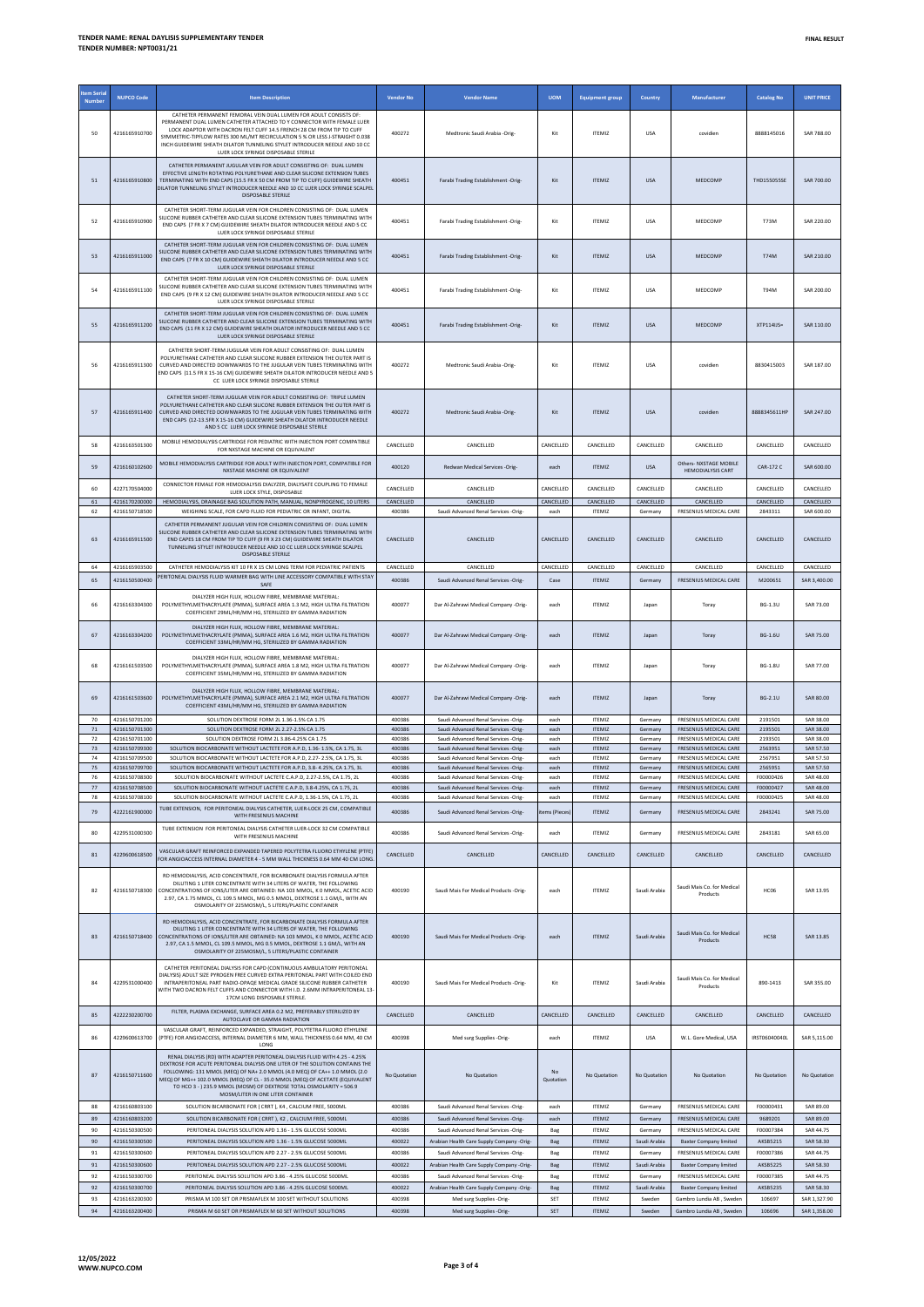| <b>Item Seria</b> |                                |                                                                                                                                                                                                                                                                                                                                                                                                                                                |                     |                                                                                   |                        |                                |                         |                                                                |                        |                              |
|-------------------|--------------------------------|------------------------------------------------------------------------------------------------------------------------------------------------------------------------------------------------------------------------------------------------------------------------------------------------------------------------------------------------------------------------------------------------------------------------------------------------|---------------------|-----------------------------------------------------------------------------------|------------------------|--------------------------------|-------------------------|----------------------------------------------------------------|------------------------|------------------------------|
| Number            | <b>NUPCO Code</b>              | <b>Item Description</b>                                                                                                                                                                                                                                                                                                                                                                                                                        | <b>Vendor No</b>    | <b>Vendor Name</b>                                                                | <b>UOM</b>             | <b>Equipment group</b>         | Country                 | Manufacturer                                                   | <b>Catalog No</b>      | <b>UNIT PRICE</b>            |
| 50                | 4216165910700                  | CATHETER PERMANENT FEMORAL VEIN DUAL LUMEN FOR ADULT CONSISTS OF<br>PERMANENT DUAL LUMEN CATHETER ATTACHED TO Y CONNECTOR WITH FEMALE LUER<br>LOCK ADAPTOR WITH DACRON FELT CUFF 14.5 FRENCH 28 CM FROM TIP TO CUFF<br>SYMMETRIC-TIPFLOW RATES 300 ML/MT RECIRCULATION 5 % OR LESS J-STRAIGHT 0.038<br>INCH GUIDEWIRE SHEATH DILATOR TUNNELING STYLET INTRODUCER NEEDLE AND 10 CC<br>LUER LOCK SYRINGE DISPOSABLE STERILE                      | 400272              | Medtronic Saudi Arabia -Orig-                                                     | Kit                    | <b>ITEMIZ</b>                  | <b>USA</b>              | covidien                                                       | 8888145016             | SAR 788.00                   |
|                   | 4216165910800                  | CATHETER PERMANENT JUGULAR VEIN FOR ADULT CONSISTING OF: DUAL LUMEN<br>EFFECTIVE LENGTH ROTATING POLYURETHANE AND CLEAR SILICONE EXTENSION TUBES<br>TERMINATING WITH END CAPS (15.5 FR X 50 CM FROM TIP TO CUFF) GUIDEWIRE SHEATH<br>DILATOR TUNNELING STYLET INTRODUCER NEEDLE AND 10 CC LUER LOCK SYRINGE SCALPEL<br><b>DISPOSABLE STERILE</b>                                                                                               | 400451              | Farabi Trading Establishment -Orig-                                               | Kit                    | <b>ITEMIZ</b>                  | <b>USA</b>              | MEDCOMP                                                        | THD155055SE            | SAR 700.00                   |
| 52                | 4216165910900                  | CATHETER SHORT-TERM JUGULAR VEIN FOR CHILDREN CONSISTING OF: DUAL LUMEN<br>SILICONE RUBBER CATHETER AND CLEAR SILICONE EXTENSION TUBES TERMINATING WITH<br>END CAPS (7 FR X 7 CM) GUIDEWIRE SHEATH DILATOR INTRODUCER NEEDLE AND 5 CC<br>LUER LOCK SYRINGE DISPOSABLE STERILE                                                                                                                                                                  | 400451              | Farabi Trading Establishment -Orig-                                               | Kit                    | <b>ITEMIZ</b>                  | <b>USA</b>              | MEDCOMP                                                        | <b>T73M</b>            | SAR 220.00                   |
| 53                | 4216165911000                  | CATHETER SHORT-TERM JUGULAR VEIN FOR CHILDREN CONSISTING OF: DUAL LUMEN<br>SILICONE RUBBER CATHETER AND CLEAR SILICONE EXTENSION TUBES TERMINATING WITH<br>END CAPS (7 FR X 10 CM) GUIDEWIRE SHEATH DILATOR INTRODUCER NEEDLE AND 5 CC<br>LUER LOCK SYRINGE DISPOSABLE STERILE                                                                                                                                                                 | 400451              | Farabi Trading Establishment -Orig-                                               | Kit                    | <b>ITEMIZ</b>                  | <b>USA</b>              | MEDCOMP                                                        | <b>T74M</b>            | SAR 210.00                   |
| 54                | 4216165911100                  | CATHETER SHORT-TERM JUGULAR VEIN FOR CHILDREN CONSISTING OF: DUAL LUMEN<br>SILICONE RUBBER CATHETER AND CLEAR SILICONE EXTENSION TUBES TERMINATING WITH<br>END CAPS (9 FR X 12 CM) GUIDEWIRE SHEATH DILATOR INTRODUCER NEEDLE AND 5 CC.<br>LUER LOCK SYRINGE DISPOSABLE STERILE                                                                                                                                                                | 400451              | Farabi Trading Establishment -Orig-                                               | Kit                    | <b>ITEMIZ</b>                  | <b>USA</b>              | MEDCOMP                                                        | <b>T94M</b>            | SAR 200.00                   |
| 55                | 4216165911200                  | CATHETER SHORT-TERM JUGULAR VEIN FOR CHILDREN CONSISTING OF: DUAL LUMEN<br>SILICONE RUBBER CATHETER AND CLEAR SILICONE EXTENSION TUBES TERMINATING WITH<br>END CAPS (11 FR X 12 CM) GUIDEWIRE SHEATH DILATOR INTRODUCER NEEDLE AND 5 CC<br>LUER LOCK SYRINGE DISPOSABLE STERILE                                                                                                                                                                | 400451              | Farabi Trading Establishment -Orig-                                               | Kit                    | <b>ITEMIZ</b>                  | <b>USA</b>              | MEDCOMP                                                        | XTP114IJS=             | SAR 110.00                   |
|                   | 4216165911300                  | CATHETER SHORT-TERM JUGULAR VEIN FOR ADULT CONSISTING OF: DUAL LUMEN<br>POLYURETHANE CATHETER AND CLEAR SILICONE RUBBER EXTENSION THE OUTER PART IS<br>CURVED AND DIRECTED DOWNWARDS TO THE JUGULAR VEIN TUBES TERMINATING WITH<br>END CAPS (11.5 FR X 15-16 CM) GUIDEWIRE SHEATH DILATOR INTRODUCER NEEDLE AND 5<br>CC LUER LOCK SYRINGE DISPOSABLE STERILE                                                                                   | 400272              | Medtronic Saudi Arabia -Orig-                                                     | Kit                    | <b>ITEMIZ</b>                  | <b>USA</b>              | covidien                                                       | 8830415003             | SAR 187.00                   |
| 57                | 4216165911400                  | CATHETER SHORT-TERM JUGULAR VEIN FOR ADULT CONSISTING OF: TRIPLE LUMEN<br>POLYURETHANE CATHETER AND CLEAR SILICONE RUBBER EXTENSION THE OUTER PART IS<br>CURVED AND DIRECTED DOWNWARDS TO THE JUGULAR VEIN TURES TERMINATING WITH<br>END CAPS (12-13.5FR X 15-16 CM) GUIDEWIRE SHEATH DILATOR INTRODUCER NEEDLE<br>AND 5 CC LUER LOCK SYRINGE DISPOSABLE STERILE                                                                               | 400272              | Medtronic Saudi Arabia -Orig-                                                     | Kit                    | <b>ITEMIZ</b>                  | <b>USA</b>              | covidien                                                       | 8888345611HP           | SAR 247.00                   |
| 58                | 4216163501300                  | MOBILE HEMODIALYSIS CARTRIDGE FOR PEDIATRIC WITH INJECTION PORT COMPATIBLE<br>FOR NXSTAGE MACHINE OR EQUIVALENT                                                                                                                                                                                                                                                                                                                                | CANCELLED           | <b>CANCELLED</b>                                                                  | CANCELLED              | CANCELLED                      | CANCELLED               | CANCELLED                                                      | CANCELLED              | CANCELLED                    |
| 59                | 4216160102600                  | MOBILE HEMODIALYSIS CARTRIDGE FOR ADULT WITH INJECTION PORT, COMPATIBLE FOR<br>NXSTAGE MACHINE OR EQUIVALENT                                                                                                                                                                                                                                                                                                                                   | 400120              | Redwan Medical Services -Orig-                                                    | each                   | <b>ITEMIZ</b>                  | <b>USA</b>              | Others- NXSTAGE MOBILE<br><b>HEMODIALYSIS CART</b>             | CAR-172 C              | SAR 600.00                   |
| 60                | 4227170504000                  | CONNECTOR FEMALE FOR HEMODIALYSIS DIALYZER, DIALYSATE COUPLING TO FEMALE                                                                                                                                                                                                                                                                                                                                                                       | CANCELLED           | CANCELLED                                                                         | CANCELLED              | CANCELLED                      | CANCELLED               | CANCELLED                                                      | CANCELLED              | CANCELLED                    |
| 61                | 4216170200000                  | LUER LOCK STYLE, DISPOSABLE<br>HEMODIALYSIS, DRAINAGE BAG SOLUTION PATH, MANUAL, NONPYROGENIC, 10 LITERS                                                                                                                                                                                                                                                                                                                                       | CANCELLED           | CANCELLED                                                                         | CANCELLED              | CANCELLED                      | CANCELLED               | CANCELLED                                                      | CANCELLED              | CANCELLED                    |
| 62                | 4216150718500                  | WEIGHING SCALE, FOR CAPD FLUID FOR PEDIATRIC OR INFANT, DIGITAL                                                                                                                                                                                                                                                                                                                                                                                | 400386              | Saudi Advanced Renal Services -Orig-                                              | each                   | <b>ITEMIZ</b>                  | Germany                 | FRESENIUS MEDICAL CARE                                         | 2843311                | SAR 600.00                   |
| 63                | 4216165911500                  | CATHETER PERMANENT JUGULAR VEIN FOR CHILDREN CONSISTING OF: DUAL LUMEN<br>SILICONE RUBBER CATHETER AND CLEAR SILICONE EXTENSION TUBES TERMINATING WITH<br>END CAPES 18 CM FROM TIP TO CUFF (9 FR X 23 CM) GUIDEWIRE SHEATH DILATOR<br>TUNNELING STYLET INTRODUCER NEEDLE AND 10 CC LUER LOCK SYRINGE SCALPEL<br><b>DISPOSABLE STERILE</b>                                                                                                      | CANCELLED           | CANCELLED                                                                         | CANCELLED              | CANCELLED                      | CANCELLED               | CANCELLED                                                      | CANCELLED              | CANCELLED                    |
| 64<br>65          | 4216165903500<br>4216150500400 | CATHETER HEMODIALYSIS KIT 10 FR X 15 CM LONG TERM FOR PEDIATRIC PATIENTS<br>PERITONEAL DIALYSIS FLUID WARMER BAG WITH LINE ACCESSORY COMPATIBLE WITH STAY                                                                                                                                                                                                                                                                                      | CANCELLED<br>400386 | CANCELLED<br>Saudi Advanced Renal Services -Orig-                                 | CANCELLED<br>Case      | CANCELLED<br><b>ITEMIZ</b>     | CANCELLED<br>Germany    | CANCELLED<br><b>FRESENIUS MEDICAL CARE</b>                     | CANCELLED<br>M200651   | CANCELLED<br>SAR 3,400.00    |
| 66                | 4216163304300                  | SAFE<br>DIALYZER HIGH FLUX, HOLLOW FIBRE, MEMBRANE MATERIAL:<br>POLYMETHYLMETHACRYLATE (PMMA), SURFACE AREA 1.3 M2, HIGH ULTRA FILTRATION<br>COEFFICIENT 29ML/HR/MM HG, STERILIZED BY GAMMA RADIATION                                                                                                                                                                                                                                          | 400077              | Dar Al-Zahrawi Medical Company -Orig-                                             | each                   | <b>ITEMIZ</b>                  | Japan                   | Toray                                                          | BG-1.3U                | SAR 73.00                    |
| 67                | 4216163304200                  | DIALYZER HIGH FLUX, HOLLOW FIBRE, MEMBRANE MATERIAL:<br>POLYMETHYLMETHACRYLATE (PMMA), SURFACE AREA 1.6 M2, HIGH ULTRA FILTRATION<br>COEFFICIENT 33ML/HR/MM HG, STERILIZED BY GAMMA RADIATION                                                                                                                                                                                                                                                  | 400077              | Dar Al-Zahrawi Medical Company -Orig                                              | each                   | <b>ITEMIZ</b>                  | Japan                   | Toray                                                          | <b>BG-1.6U</b>         | SAR 75.00                    |
| 68                | 4216161503500                  | DIALYZER HIGH FLUX, HOLLOW FIBRE, MEMBRANE MATERIAL:<br>POLYMETHYLMETHACRYLATE (PMMA), SURFACE AREA 1.8 M2, HIGH ULTRA FILTRATION<br>COEFFICIENT 35ML/HR/MM HG, STERILIZED BY GAMMA RADIATION                                                                                                                                                                                                                                                  | 400077              | Dar Al-Zahrawi Medical Company -Orig-                                             | each                   | <b>ITEMIZ</b>                  | Japan                   | Toray                                                          | <b>BG-1.8U</b>         | SAR 77.00                    |
| 69                | 4216161503600                  | DIALYZER HIGH FLUX, HOLLOW FIBRE, MEMBRANE MATERIAL:<br>POLYMETHYLMETHACRYLATE (PMMA), SURFACE AREA 2.1 M2, HIGH ULTRA FILTRATION<br>COEFFICIENT 43ML/HR/MM HG. STERILIZED BY GAMMA RADIATION                                                                                                                                                                                                                                                  | 400077              | Dar Al-Zahrawi Medical Company -Orig-                                             | each                   | <b>ITEMIZ</b>                  | Japan                   | Toray                                                          | BG-2.1U                | SAR 80.00                    |
| 70<br>71          | 4216150701200<br>4216150701300 | SOLUTION DEXTROSE FORM 2L 1.36-1.5% CA 1.75<br>SOLUTION DEXTROSE FORM 2L 2.27-2.5% CA 1.75                                                                                                                                                                                                                                                                                                                                                     | 400386<br>400386    | Saudi Advanced Renal Services -Orig-<br>Saudi Advanced Renal Services -Orig-      | each<br>each           | <b>ITEMIZ</b><br><b>ITEMIZ</b> | Germany                 | <b>FRESENIUS MEDICAL CARE</b><br>FRESENIUS MEDICAL CARE        | 2191501<br>2195501     | SAR 38.00<br>SAR 38.00       |
| 72                | 4216150701100                  | SOLUTION DEXTROSE FORM 2L 3.86-4.25% CA 1.75                                                                                                                                                                                                                                                                                                                                                                                                   | 400386              | Saudi Advanced Renal Services -Orig                                               | each                   | <b>ITEMIZ</b>                  | Germany<br>Germany      | FRESENIUS MEDICAL CARE                                         | 2193501                | SAR 38.00                    |
| 73                | 4216150709300                  | SOLUTION BIOCARBONATE WITHOUT LACTETE FOR A.P.D, 1.36-1.5%, CA 1.75, 3L                                                                                                                                                                                                                                                                                                                                                                        | 400386              | Saudi Advanced Renal Services -Orig-                                              | each                   | <b>ITEMIZ</b>                  | Germany                 | FRESENIUS MEDICAL CARE                                         | 2563951                | <b>SAR 57.50</b>             |
| 74<br>$75\,$      | 4216150709500<br>4216150709700 | SOLUTION BIOCARBONATE WITHOUT LACTETE FOR A.P.D, 2.27- 2.5%, CA 1.75, 3L<br>SOLUTION BIOCARBONATE WITHOUT LACTETE FOR A.P.D, 3.8-4.25%, CA 1.75, 3L                                                                                                                                                                                                                                                                                            | 400386<br>400386    | Saudi Advanced Renal Services -Orig-<br>Saudi Advanced Renal Services -Orig-      | each<br>each           | <b>ITEMIZ</b><br><b>ITEMIZ</b> | Germany<br>Germany      | FRESENIUS MEDICAL CARE<br>FRESENIUS MEDICAL CARE               | 2567951<br>2565951     | SAR 57.50<br>SAR 57.50       |
|                   | 4216150708300                  | SOLUTION BIOCARBONATE WITHOUT LACTETE C.A.P.D. 2.27-2.5%, CA 1.75. 2L                                                                                                                                                                                                                                                                                                                                                                          | 400386              | Saudi Advanced Renal Services -Orig                                               | each                   | <b>ITEMIZ</b>                  | Germany                 | FRESENIUS MEDICAL CARE                                         | F00000426              | SAR 48.00                    |
| 77<br>78          | 4216150708500<br>4216150708100 | SOLUTION BIOCARBONATE WITHOUT LACTETE C.A.P.D, 3.8-4.25%, CA 1.75, 2L<br>SOLUTION BIOCARBONATE WITHOUT LACTETE C.A.P.D, 1.36-1.5%, CA 1.75, 2L                                                                                                                                                                                                                                                                                                 | 400386<br>400386    | Saudi Advanced Renal Services -Orig-<br>Saudi Advanced Renal Services -Orig-      | each<br>each           | <b>ITEMIZ</b><br>ITEMIZ        | Germany<br>Germany      | <b>FRESENILIS MEDICAL CARE</b><br>FRESENIUS MEDICAL CARE       | F00000427<br>F00000425 | SAR 48.00<br>SAR 48.00       |
| 79                | 4222161900000                  | TUBE EXTENSION, FOR PERITONEAL DIALYSIS CATHETER, LUER-LOCK 25 CM, COMPATIBLE<br>WITH FRESENIUS MACHINE                                                                                                                                                                                                                                                                                                                                        | 400386              | Saudi Advanced Renal Services -Orig-                                              | <b>Items</b> (Pieces   | <b>ITEMIZ</b>                  | Germany                 | FRESENIUS MEDICAL CARE                                         | 2843241                | SAR 75.00                    |
| 80                | 4229531000300                  | TUBE EXTENSION FOR PERITONEAL DIALYSIS CATHETER LUER-LOCK 32 CM COMPATIBLE<br>WITH FRESENIUS MACHINE                                                                                                                                                                                                                                                                                                                                           | 400386              | Saudi Advanced Renal Services -Orig-                                              | each                   | <b>ITEMIZ</b>                  | Germany                 | FRESENIUS MEDICAL CARE                                         | 2843181                | SAR 65.00                    |
| 81                | 4229600618500                  | VASCULAR GRAFT REINFORCED EXPANDED TAPERED POLYTETRA FLUORO ETHYLENE (PTFE)<br>FOR ANGIOACCESS INTERNAL DIAMETER 4 - 5 MM WALL THICKNESS 0.64 MM 40 CM LONG.                                                                                                                                                                                                                                                                                   | CANCELLED           | CANCELLED                                                                         | CANCELLED              | CANCELLED                      | CANCELLED               | CANCELLED                                                      | CANCELLED              | CANCELLED                    |
| 82                | 4216150718300                  | RD HEMODIALYSIS, ACID CONCENTRATE, FOR BICARBONATE DIALYSIS FORMULA AFTER<br>DILUTING 1 LITER CONCENTRATE WITH 34 LITERS OF WATER, THE FOLLOWING<br>CONCENTRATIONS OF IONS/LITER ARE OBTAINED: NA 103 MMOL, K 0 MMOL, ACETIC ACID<br>2.97, CA 1.75 MMOL, CL 109.5 MMOL, MG 0.5 MMOL, DEXTROSE 1.1 GM/L, WITH AN<br>OSMOLARITY OF 225MOSM/L, 5 LITERS/PLASTIC CONTAINER                                                                         | 400190              | Saudi Mais For Medical Products -Orig-                                            | each                   | <b>ITEMIZ</b>                  | Saudi Arabia            | Saudi Mais Co. for Medical<br>Products                         | <b>HC06</b>            | SAR 13.95                    |
| 83                | 4216150718400                  | RD HEMODIALYSIS, ACID CONCENTRATE, FOR BICARBONATE DIALYSIS FORMULA AFTER<br>DILUTING 1 LITER CONCENTRATE WITH 34 LITERS OF WATER. THE FOLLOWING<br>CONCENTRATIONS OF IONS/LITER ARE OBTAINED: NA 103 MMOL, K 0 MMOL, ACETIC ACID<br>2.97, CA 1.5 MMOL, CL 109.5 MMOL, MG 0.5 MMOL, DEXTROSE 1.1 GM/L, WITH AN<br>OSMOLARITY OF 225MOSM/L, 5 LITERS/PLASTIC CONTAINER                                                                          | 400190              | Saudi Mais For Medical Products -Orig-                                            | each                   | <b>ITEMIZ</b>                  | Saudi Arabia            | Saudi Mais Co. for Medical<br>Products                         | <b>HC58</b>            | SAR 13.85                    |
| 84                | 4229531000400                  | CATHETER PERITONEAL DIALYSIS FOR CAPD (CONTINUOUS AMBULATORY PERITONEAL<br>DIALYSIS) ADULT SIZE PYROGEN FREE CURVED EXTRA PERITONEAL PART WITH COILED END<br>INTRAPERITONEAL PART RADIO-OPAGE MEDICAL GRADE SILICONE RUBBER CATHETER<br>WITH TWO DACRON FELT CUFFS AND CONNECTOR WITH I.D. 2.6MM INTRAPERITONEAL 13-<br>17CM LONG DISPOSABLE STERILE.                                                                                          | 400190              | Saudi Mais For Medical Products -Orig-                                            | Kit                    | <b>ITEMIZ</b>                  | Saudi Arabia            | Saudi Mais Co. for Medical<br>Products                         | 890-1413               | SAR 355.00                   |
| 85                | 4222230200700                  | FILTER, PLASMA EXCHANGE, SURFACE AREA 0.2 M2, PREFERABLY STERILIZED BY<br>AUTOCLAVE OR GAMMA RADIATION                                                                                                                                                                                                                                                                                                                                         | CANCELLED           | CANCELLED                                                                         | CANCELLED              | CANCELLED                      | CANCELLED               | CANCELLED                                                      | CANCELLED              | CANCELLED                    |
| 86                | 4229600613700                  | VASCULAR GRAFT, REINFORCED EXPANDED, STRAIGHT, POLYTETRA FLUORO ETHYLENE<br>(PTFE) FOR ANGIOACCESS, INTERNAL DIAMETER 6 MM, WALL THICKNESS 0.64 MM, 40 CM                                                                                                                                                                                                                                                                                      | 400398              | Med surg Supplies -Orig-                                                          | each                   | <b>ITEMIZ</b>                  | <b>USA</b>              | W.L. Gore Medical, USA                                         | IRST06040040L          | SAR 5,115.00                 |
| 87                | 4216150711600                  | LONG<br>RENAL DIALYSIS (RD) WITH ADAPTER PERITONEAL DIALYSIS FLUID WITH 4.25 - 4.25%<br>DEXTROSE FOR ACUTE PERITONEAL DIALYSIS ONE LITER OF THE SOLUTION CONTAINS THE<br>FOLLOWING: 131 MMOL (MEQ) OF NA+ 2.0 MMOL (4.0 MEQ) OF CA++ 1.0 MMOL (2.0<br>MEQ) OF MG++ 102.0 MMOL (MEQ) OF CL - 35.0 MMOL (MEQ) OF ACETATE (EQUIVALENT<br>TO HCO 3 - ) 235.9 MMOL (MOSM) OF DEXTROSE TOTAL OSMOLARITY = 506.9<br>MOSM/LITER IN ONE LITER CONTAINER | No Quotation        | No Quotation                                                                      | <b>No</b><br>Quotation | No Quotation                   | No Quotation            | No Quotation                                                   | No Quotation           | No Quotation                 |
| 88                | 4216160803100                  | SOLUTION BICARBONATE FOR ( CRRT ), K4, CALCIUM FREE, 5000ML                                                                                                                                                                                                                                                                                                                                                                                    | 400386              | Saudi Advanced Renal Services -Orig-                                              | each                   | <b>ITEMIZ</b>                  | Germany                 | FRESENIUS MEDICAL CARE                                         | F00000431              | SAR 89.00                    |
| 89                | 4216160803200                  | SOLUTION BICARBONATE FOR ( CRRT ), K2, CALCIUM FREE, 5000ML                                                                                                                                                                                                                                                                                                                                                                                    | 400386              | Saudi Advanced Renal Services -Orig-                                              | each                   | <b>ITEMIZ</b>                  | Germany                 | FRESENIUS MEDICAL CARE                                         | 9689201                | SAR 89.00                    |
| 90                | 4216150300500                  | PERITONEAL DIALYSIS SOLUTION APD 1.36 - 1.5% GLUCOSE 5000ML                                                                                                                                                                                                                                                                                                                                                                                    | 400386              | Saudi Advanced Renal Services -Orig                                               | Bag                    | <b>ITEMIZ</b>                  | Germany                 | FRESENIUS MEDICAL CARE                                         | F00007384              | SAR 44.75                    |
| 90<br>91          | 4216150300500<br>4216150300600 | PERITONEAL DIALYSIS SOLUTION APD 1.36 - 1.5% GLUCOSE 5000ML<br>PERITONEAL DIALYSIS SOLUTION APD 2.27 - 2.5% GLUCOSE 5000ML                                                                                                                                                                                                                                                                                                                     | 400022<br>400386    | Arabian Health Care Supply Company -Orig-<br>Saudi Advanced Renal Services -Orig- | Bag<br>Bag             | <b>ITEMIZ</b><br><b>ITEMIZ</b> | Saudi Arabia<br>Germany | <b>Baxter Company limited</b><br><b>FRESENIUS MEDICAL CARE</b> | AKSB5215<br>F00007386  | SAR 58.30<br>SAR 44.75       |
| 91                | 4216150300600                  | PERITONEAL DIALYSIS SOLUTION APD 2.27 - 2.5% GLUCOSE 5000ML                                                                                                                                                                                                                                                                                                                                                                                    | 400022              | Arabian Health Care Supply Company -Orig-                                         | <b>Bag</b>             | <b>ITEMIZ</b>                  | Saudi Arabia            | <b>Baxter Company limited</b>                                  | <b>AKSB5225</b>        | SAR 58.30                    |
| 92                | 4216150300700                  | PERITONEAL DIALYSIS SOLUTION APD 3.86 - 4.25% GLUCOSE 5000ML                                                                                                                                                                                                                                                                                                                                                                                   | 400386              | Saudi Advanced Renal Services -Orig-                                              | Bag                    | <b>ITEMIZ</b>                  | Germany                 | FRESENIUS MEDICAL CARE                                         | F00007385              | SAR 44.75                    |
| 92                | 4216150300700                  | PERITONEAL DIALYSIS SOLUTION APD 3.86 - 4.25% GLUCOSE 5000ML                                                                                                                                                                                                                                                                                                                                                                                   | 400022              | Arabian Health Care Supply Company -Orig-                                         | Bag                    | <b>ITEMIZ</b>                  | Saudi Arabia            | <b>Baxter Company limited</b>                                  | <b>AKSB5235</b>        | SAR 58.30                    |
| 93<br>94          | 4216163200300<br>4216163200400 | PRISMA M 100 SET OR PRISMAFLEX M 100 SET WITHOUT SOLUTIONS<br>PRISMA M 60 SET OR PRISMAFLEX M 60 SET WITHOUT SOLUTIONS                                                                                                                                                                                                                                                                                                                         | 400398<br>400398    | Med surg Supplies -Orig-<br>Med surg Supplies -Orig-                              | <b>SET</b><br>SET      | <b>ITEMIZ</b><br><b>ITEMIZ</b> | Sweden<br>Sweden        | Gambro Lundia AB, Sweder<br>Gambro Lundia AB, Sweden           | 106697<br>106696       | SAR 1,327.90<br>SAR 1,358.00 |

 $\sqrt{ }$